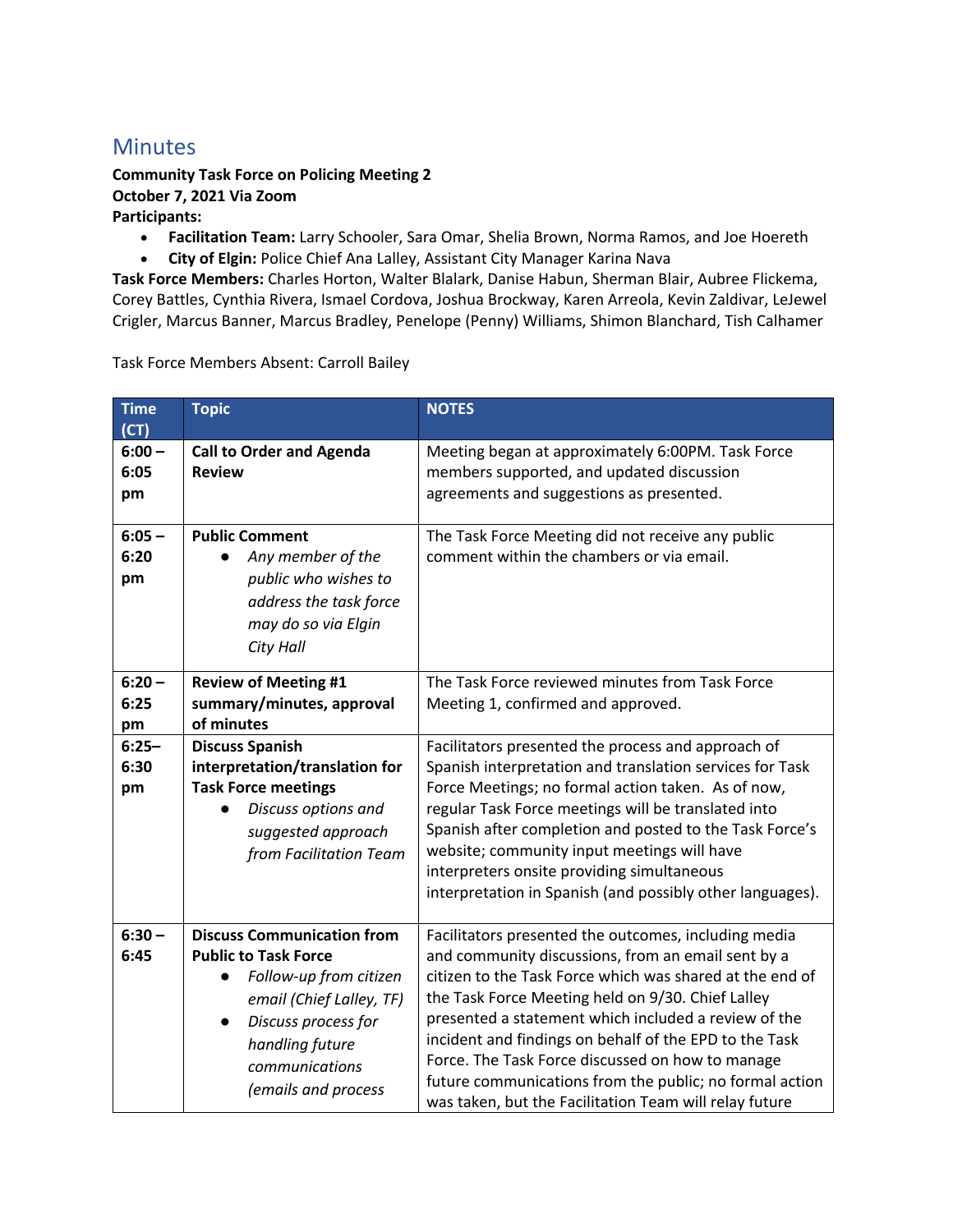## **Minutes**

## **Community Task Force on Policing Meeting 2 October 7, 2021 Via Zoom Participants:**

- **Facilitation Team:** Larry Schooler, Sara Omar, Shelia Brown, Norma Ramos, and Joe Hoereth
- **City of Elgin:** Police Chief Ana Lalley, Assistant City Manager Karina Nava

**Task Force Members:** Charles Horton, Walter Blalark, Danise Habun, Sherman Blair, Aubree Flickema, Corey Battles, Cynthia Rivera, Ismael Cordova, Joshua Brockway, Karen Arreola, Kevin Zaldivar, LeJewel Crigler, Marcus Banner, Marcus Bradley, Penelope (Penny) Williams, Shimon Blanchard, Tish Calhamer

Task Force Members Absent: Carroll Bailey

| <b>Time</b><br>(CT)    | <b>Topic</b>                                                                                                                                                                                              | <b>NOTES</b>                                                                                                                                                                                                                                                                                                                                                                                                                                                                                                           |
|------------------------|-----------------------------------------------------------------------------------------------------------------------------------------------------------------------------------------------------------|------------------------------------------------------------------------------------------------------------------------------------------------------------------------------------------------------------------------------------------------------------------------------------------------------------------------------------------------------------------------------------------------------------------------------------------------------------------------------------------------------------------------|
| $6:00 -$<br>6:05<br>pm | <b>Call to Order and Agenda</b><br><b>Review</b>                                                                                                                                                          | Meeting began at approximately 6:00PM. Task Force<br>members supported, and updated discussion<br>agreements and suggestions as presented.                                                                                                                                                                                                                                                                                                                                                                             |
| $6:05 -$<br>6:20<br>pm | <b>Public Comment</b><br>Any member of the<br>public who wishes to<br>address the task force<br>may do so via Elgin<br><b>City Hall</b>                                                                   | The Task Force Meeting did not receive any public<br>comment within the chambers or via email.                                                                                                                                                                                                                                                                                                                                                                                                                         |
| $6:20 -$<br>6:25<br>pm | <b>Review of Meeting #1</b><br>summary/minutes, approval<br>of minutes                                                                                                                                    | The Task Force reviewed minutes from Task Force<br>Meeting 1, confirmed and approved.                                                                                                                                                                                                                                                                                                                                                                                                                                  |
| $6:25 -$<br>6:30<br>pm | <b>Discuss Spanish</b><br>interpretation/translation for<br><b>Task Force meetings</b><br>Discuss options and<br>suggested approach<br>from Facilitation Team                                             | Facilitators presented the process and approach of<br>Spanish interpretation and translation services for Task<br>Force Meetings; no formal action taken. As of now,<br>regular Task Force meetings will be translated into<br>Spanish after completion and posted to the Task Force's<br>website; community input meetings will have<br>interpreters onsite providing simultaneous<br>interpretation in Spanish (and possibly other languages).                                                                       |
| $6:30 -$<br>6:45       | <b>Discuss Communication from</b><br><b>Public to Task Force</b><br>Follow-up from citizen<br>email (Chief Lalley, TF)<br>Discuss process for<br>handling future<br>communications<br>(emails and process | Facilitators presented the outcomes, including media<br>and community discussions, from an email sent by a<br>citizen to the Task Force which was shared at the end of<br>the Task Force Meeting held on 9/30. Chief Lalley<br>presented a statement which included a review of the<br>incident and findings on behalf of the EPD to the Task<br>Force. The Task Force discussed on how to manage<br>future communications from the public; no formal action<br>was taken, but the Facilitation Team will relay future |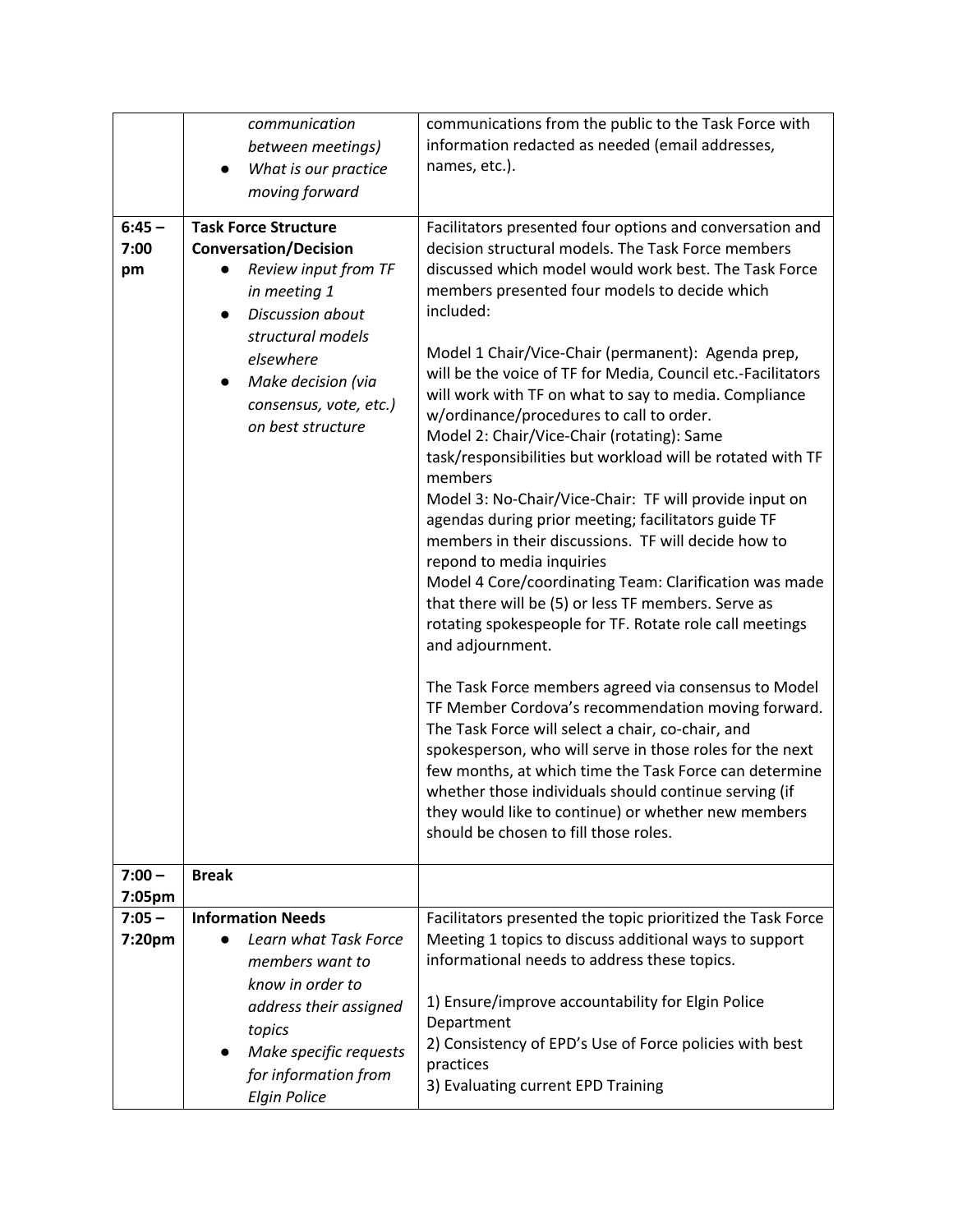|          | communication                               | communications from the public to the Task Force with                                                         |
|----------|---------------------------------------------|---------------------------------------------------------------------------------------------------------------|
|          | between meetings)                           | information redacted as needed (email addresses,                                                              |
|          | What is our practice                        | names, etc.).                                                                                                 |
|          | moving forward                              |                                                                                                               |
| $6:45 -$ | <b>Task Force Structure</b>                 | Facilitators presented four options and conversation and                                                      |
| 7:00     | <b>Conversation/Decision</b>                | decision structural models. The Task Force members                                                            |
| pm       | Review input from TF                        | discussed which model would work best. The Task Force                                                         |
|          | in meeting 1                                | members presented four models to decide which                                                                 |
|          | Discussion about<br>$\bullet$               | included:                                                                                                     |
|          | structural models                           | Model 1 Chair/Vice-Chair (permanent): Agenda prep,                                                            |
|          | elsewhere                                   | will be the voice of TF for Media, Council etc.-Facilitators                                                  |
|          | Make decision (via<br>$\bullet$             | will work with TF on what to say to media. Compliance                                                         |
|          | consensus, vote, etc.)<br>on best structure | w/ordinance/procedures to call to order.                                                                      |
|          |                                             | Model 2: Chair/Vice-Chair (rotating): Same                                                                    |
|          |                                             | task/responsibilities but workload will be rotated with TF<br>members                                         |
|          |                                             | Model 3: No-Chair/Vice-Chair: TF will provide input on                                                        |
|          |                                             | agendas during prior meeting; facilitators guide TF                                                           |
|          |                                             | members in their discussions. TF will decide how to                                                           |
|          |                                             | repond to media inquiries<br>Model 4 Core/coordinating Team: Clarification was made                           |
|          |                                             | that there will be (5) or less TF members. Serve as                                                           |
|          |                                             | rotating spokespeople for TF. Rotate role call meetings                                                       |
|          |                                             | and adjournment.                                                                                              |
|          |                                             |                                                                                                               |
|          |                                             | The Task Force members agreed via consensus to Model                                                          |
|          |                                             | TF Member Cordova's recommendation moving forward.                                                            |
|          |                                             | The Task Force will select a chair, co-chair, and<br>spokesperson, who will serve in those roles for the next |
|          |                                             | few months, at which time the Task Force can determine                                                        |
|          |                                             | whether those individuals should continue serving (if                                                         |
|          |                                             | they would like to continue) or whether new members                                                           |
|          |                                             | should be chosen to fill those roles.                                                                         |
| $7:00 -$ | <b>Break</b>                                |                                                                                                               |
| 7:05pm   |                                             |                                                                                                               |
| $7:05 -$ | <b>Information Needs</b>                    | Facilitators presented the topic prioritized the Task Force                                                   |
| 7:20pm   | Learn what Task Force                       | Meeting 1 topics to discuss additional ways to support                                                        |
|          | members want to                             | informational needs to address these topics.                                                                  |
|          | know in order to                            |                                                                                                               |
|          | address their assigned                      | 1) Ensure/improve accountability for Elgin Police                                                             |
|          | topics                                      | Department<br>2) Consistency of EPD's Use of Force policies with best                                         |
|          | Make specific requests                      | practices                                                                                                     |
|          | for information from<br><b>Elgin Police</b> | 3) Evaluating current EPD Training                                                                            |